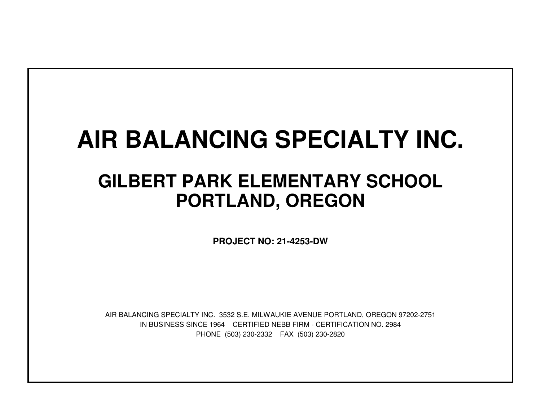## **AIR BALANCING SPECIALTY INC.**

## **GILBERT PARK ELEMENTARY SCHOOLPORTLAND, OREGON**

**PROJECT NO: 21-4253-DW**

IN BUSINESS SINCE 1964 CERTIFIED NEBB FIRM - CERTIFICATION NO. 2984PHONE (503) 230-2332 FAX (503) 230-2820AIR BALANCING SPECIALTY INC. 3532 S.E. MILWAUKIE AVENUE PORTLAND, OREGON 97202-2751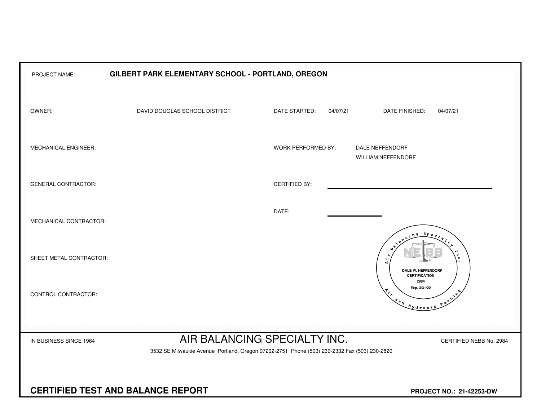| PROJECT NAME:                                                                                                                                                                     | GILBERT PARK ELEMENTARY SCHOOL - PORTLAND, OREGON |                      |                                                                                                                                                                                                                                                                                                                                                                                                                   |  |  |  |  |  |  |  |  |  |  |  |
|-----------------------------------------------------------------------------------------------------------------------------------------------------------------------------------|---------------------------------------------------|----------------------|-------------------------------------------------------------------------------------------------------------------------------------------------------------------------------------------------------------------------------------------------------------------------------------------------------------------------------------------------------------------------------------------------------------------|--|--|--|--|--|--|--|--|--|--|--|
| OWNER:                                                                                                                                                                            | DAVID DOUGLAS SCHOOL DISTRICT                     | DATE STARTED:        | 04/07/21<br>DATE FINISHED:<br>04/07/21                                                                                                                                                                                                                                                                                                                                                                            |  |  |  |  |  |  |  |  |  |  |  |
| MECHANICAL ENGINEER:                                                                                                                                                              |                                                   | WORK PERFORMED BY:   | DALE NEFFENDORF<br><b>WILLIAM NEFFENDORF</b>                                                                                                                                                                                                                                                                                                                                                                      |  |  |  |  |  |  |  |  |  |  |  |
| <b>GENERAL CONTRACTOR:</b>                                                                                                                                                        |                                                   | <b>CERTIFIED BY:</b> |                                                                                                                                                                                                                                                                                                                                                                                                                   |  |  |  |  |  |  |  |  |  |  |  |
| MECHANICAL CONTRACTOR:                                                                                                                                                            |                                                   | DATE:                | $S_{PQ}$                                                                                                                                                                                                                                                                                                                                                                                                          |  |  |  |  |  |  |  |  |  |  |  |
| SHEET METAL CONTRACTOR:                                                                                                                                                           |                                                   |                      | $\ddot{A}$<br><b>DALE W. NEFFENDORF</b><br><b>CERTIFICATION</b>                                                                                                                                                                                                                                                                                                                                                   |  |  |  |  |  |  |  |  |  |  |  |
| CONTROL CONTRACTOR:                                                                                                                                                               |                                                   |                      | 2984<br>Exp. 3/31/22<br>$x^{\lambda^{\Phi}}$<br>$\begin{picture}(180,170) \put(0,0){\vector(1,0){100}} \put(15,0){\vector(1,0){100}} \put(15,0){\vector(1,0){100}} \put(15,0){\vector(1,0){100}} \put(15,0){\vector(1,0){100}} \put(15,0){\vector(1,0){100}} \put(15,0){\vector(1,0){100}} \put(15,0){\vector(1,0){100}} \put(15,0){\vector(1,0){100}} \put(15,0){\vector(1,0){100}} \put(15,0){\vector(1,0){100$ |  |  |  |  |  |  |  |  |  |  |  |
| AIR BALANCING SPECIALTY INC.<br>IN BUSINESS SINCE 1964<br>CERTIFIED NEBB No. 2984<br>3532 SE Milwaukie Avenue Portland, Oregon 97202-2751 Phone (503) 230-2332 Fax (503) 230-2820 |                                                   |                      |                                                                                                                                                                                                                                                                                                                                                                                                                   |  |  |  |  |  |  |  |  |  |  |  |
| <b>CERTIFIED TEST AND BALANCE REPORT</b>                                                                                                                                          | PROJECT NO.: 21-42253-DW                          |                      |                                                                                                                                                                                                                                                                                                                                                                                                                   |  |  |  |  |  |  |  |  |  |  |  |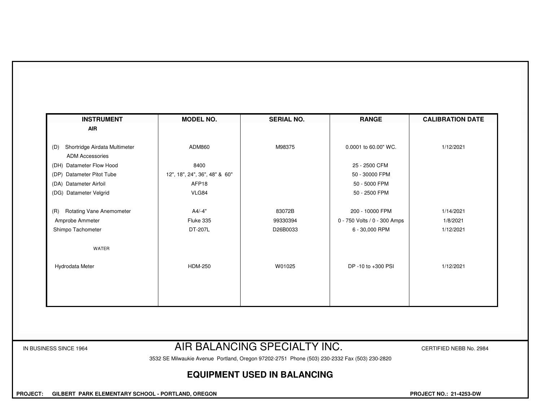| <b>INSTRUMENT</b>                                              | <b>MODEL NO.</b>              | <b>SERIAL NO.</b>            | <b>RANGE</b>                 | <b>CALIBRATION DATE</b> |
|----------------------------------------------------------------|-------------------------------|------------------------------|------------------------------|-------------------------|
| <b>AIR</b>                                                     |                               |                              |                              |                         |
| Shortridge Airdata Multimeter<br>(D)<br><b>ADM Accessories</b> | ADM860                        | M98375                       | 0.0001 to 60.00" WC.         | 1/12/2021               |
| (DH) Datameter Flow Hood                                       | 8400                          |                              | 25 - 2500 CFM                |                         |
| (DP) Datameter Pitot Tube                                      | 12", 18", 24", 36", 48" & 60" |                              | 50 - 30000 FPM               |                         |
| (DA) Datameter Airfoil                                         | AFP <sub>18</sub>             |                              | 50 - 5000 FPM                |                         |
| (DG) Datameter Velgrid                                         | VLG84                         |                              | 50 - 2500 FPM                |                         |
| <b>Rotating Vane Anemometer</b><br>(R)                         | A4/-4"                        | 83072B                       | 200 - 10000 FPM              | 1/14/2021               |
| Amprobe Ammeter                                                | Fluke 335                     | 99330394                     | 0 - 750 Volts / 0 - 300 Amps | 1/8/2021                |
| Shimpo Tachometer                                              | DT-207L                       | D26B0033                     | 6 - 30,000 RPM               | 1/12/2021               |
| WATER                                                          |                               |                              |                              |                         |
| Hydrodata Meter                                                | <b>HDM-250</b>                | W01025                       | DP -10 to +300 PSI           | 1/12/2021               |
|                                                                |                               |                              |                              |                         |
|                                                                |                               |                              |                              |                         |
|                                                                |                               |                              |                              |                         |
| IN BUSINESS SINCE 1964                                         |                               | AIR BALANCING SPECIALTY INC. |                              | CERTIFIED NEBB No. 2984 |

3532 SE Milwaukie Avenue Portland, Oregon 97202-2751 Phone (503) 230-2332 Fax (503) 230-2820

## **EQUIPMENT USED IN BALANCING**

 **PROJECT: GILBERT PARK ELEMENTARY SCHOOL - PORTLAND, OREGON PROJECT NO.: 21-4253-DW**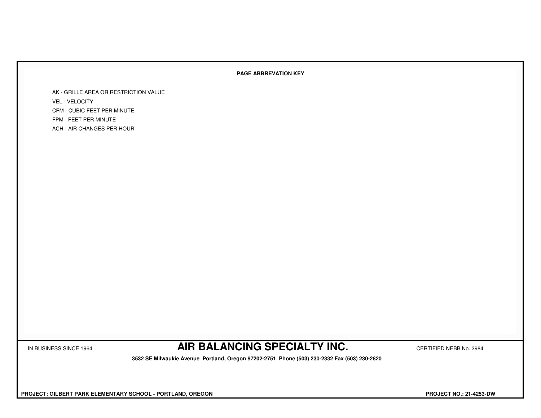## **PAGE ABBREVATION KEY**

AK - GRILLE AREA OR RESTRICTION VALUEVEL - VELOCITY CFM - CUBIC FEET PER MINUTEFPM - FEET PER MINUTEACH - AIR CHANGES PER HOUR

IN BUSINESS SINCE 1964 **AIR BALANCING SPECIALTY INC.** CERTIFIED NEBB No. 2984

 **3532 SE Milwaukie Avenue Portland, Oregon 97202-2751 Phone (503) 230-2332 Fax (503) 230-2820**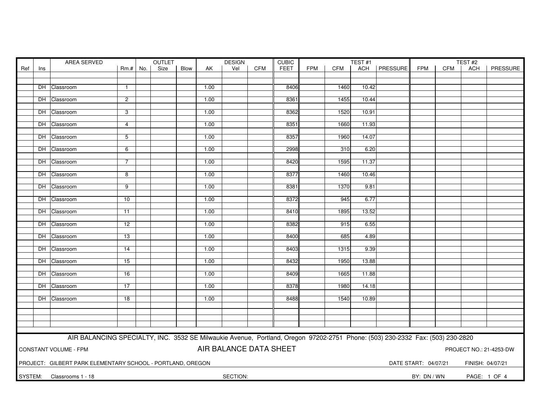| FEET<br><b>FPM</b><br>ACH   PRESSURE<br>Ref<br>Rm.# No.<br>Size<br>Blow<br>Vel<br><b>CFM</b><br><b>CFM</b><br><b>FPM</b><br><b>CFM</b><br>AK<br>ACH<br>Ins<br>10.42<br>DH Classroom<br>1.00<br>8406<br>1460<br>$\mathbf{1}$<br>8361<br>1455<br>DH Classroom<br>$\overline{2}$<br>1.00<br>10.44<br>1520<br>10.91<br>DH Classroom<br>3<br>1.00<br>8362<br>1.00<br>8351<br>1660<br>11.93<br>DH Classroom<br>$\overline{4}$<br>DH Classroom<br>1.00<br>8357<br>1960<br>14.07<br>5<br>2998<br>1.00<br>310<br>6.20<br>DH Classroom<br>6<br>8420<br>1595<br>DH Classroom<br>1.00<br>11.37<br>7<br>8377<br>DH Classroom<br>8<br>1.00<br>1460<br>10.46<br>9<br>1.00<br>8381<br>1370<br>9.81<br>DH Classroom<br>DH Classroom<br>1.00<br>8372<br>945<br>6.77<br>10<br>DH Classroom<br>1.00<br>8410<br>1895<br>13.52<br>11<br>8382<br>6.55<br>DH Classroom<br>$\overline{12}$<br>1.00<br>915<br>8400<br>DH Classroom<br>13<br>1.00<br>685<br>4.89<br>DH Classroom<br>8403<br>9.39<br>14<br>1.00<br>1315<br>1950<br>13.88<br>DH Classroom<br>1.00<br>8432<br>15<br>16<br>1.00<br>8409<br>1665<br>11.88<br>DH Classroom<br>8378<br>DH Classroom<br>$\overline{17}$<br>1.00<br>1980<br>14.18<br>DH Classroom<br>1.00<br>8488<br>1540<br>10.89<br>18<br>AIR BALANCING SPECIALTY, INC. 3532 SE Milwaukie Avenue, Portland, Oregon 97202-2751 Phone: (503) 230-2332 Fax: (503) 230-2820<br>AIR BALANCE DATA SHEET<br><b>CONSTANT VOLUME - FPM</b><br>PROJECT NO.: 21-4253-DW<br>PROJECT: GILBERT PARK ELEMENTARY SCHOOL - PORTLAND, OREGON<br>DATE START: 04/07/21<br>FINISH: 04/07/21 | AREA SERVED |  |  |  |  | OUTLET |  |  | <b>DESIGN</b> |  | <b>CUBIC</b> |  | TEST#1 |  |  | TEST#2 |          |
|----------------------------------------------------------------------------------------------------------------------------------------------------------------------------------------------------------------------------------------------------------------------------------------------------------------------------------------------------------------------------------------------------------------------------------------------------------------------------------------------------------------------------------------------------------------------------------------------------------------------------------------------------------------------------------------------------------------------------------------------------------------------------------------------------------------------------------------------------------------------------------------------------------------------------------------------------------------------------------------------------------------------------------------------------------------------------------------------------------------------------------------------------------------------------------------------------------------------------------------------------------------------------------------------------------------------------------------------------------------------------------------------------------------------------------------------------------------------------------------------------------------------------------------------------------------------|-------------|--|--|--|--|--------|--|--|---------------|--|--------------|--|--------|--|--|--------|----------|
|                                                                                                                                                                                                                                                                                                                                                                                                                                                                                                                                                                                                                                                                                                                                                                                                                                                                                                                                                                                                                                                                                                                                                                                                                                                                                                                                                                                                                                                                                                                                                                      |             |  |  |  |  |        |  |  |               |  |              |  |        |  |  |        | PRESSURE |
|                                                                                                                                                                                                                                                                                                                                                                                                                                                                                                                                                                                                                                                                                                                                                                                                                                                                                                                                                                                                                                                                                                                                                                                                                                                                                                                                                                                                                                                                                                                                                                      |             |  |  |  |  |        |  |  |               |  |              |  |        |  |  |        |          |
|                                                                                                                                                                                                                                                                                                                                                                                                                                                                                                                                                                                                                                                                                                                                                                                                                                                                                                                                                                                                                                                                                                                                                                                                                                                                                                                                                                                                                                                                                                                                                                      |             |  |  |  |  |        |  |  |               |  |              |  |        |  |  |        |          |
|                                                                                                                                                                                                                                                                                                                                                                                                                                                                                                                                                                                                                                                                                                                                                                                                                                                                                                                                                                                                                                                                                                                                                                                                                                                                                                                                                                                                                                                                                                                                                                      |             |  |  |  |  |        |  |  |               |  |              |  |        |  |  |        |          |
|                                                                                                                                                                                                                                                                                                                                                                                                                                                                                                                                                                                                                                                                                                                                                                                                                                                                                                                                                                                                                                                                                                                                                                                                                                                                                                                                                                                                                                                                                                                                                                      |             |  |  |  |  |        |  |  |               |  |              |  |        |  |  |        |          |
|                                                                                                                                                                                                                                                                                                                                                                                                                                                                                                                                                                                                                                                                                                                                                                                                                                                                                                                                                                                                                                                                                                                                                                                                                                                                                                                                                                                                                                                                                                                                                                      |             |  |  |  |  |        |  |  |               |  |              |  |        |  |  |        |          |
|                                                                                                                                                                                                                                                                                                                                                                                                                                                                                                                                                                                                                                                                                                                                                                                                                                                                                                                                                                                                                                                                                                                                                                                                                                                                                                                                                                                                                                                                                                                                                                      |             |  |  |  |  |        |  |  |               |  |              |  |        |  |  |        |          |
|                                                                                                                                                                                                                                                                                                                                                                                                                                                                                                                                                                                                                                                                                                                                                                                                                                                                                                                                                                                                                                                                                                                                                                                                                                                                                                                                                                                                                                                                                                                                                                      |             |  |  |  |  |        |  |  |               |  |              |  |        |  |  |        |          |
|                                                                                                                                                                                                                                                                                                                                                                                                                                                                                                                                                                                                                                                                                                                                                                                                                                                                                                                                                                                                                                                                                                                                                                                                                                                                                                                                                                                                                                                                                                                                                                      |             |  |  |  |  |        |  |  |               |  |              |  |        |  |  |        |          |
|                                                                                                                                                                                                                                                                                                                                                                                                                                                                                                                                                                                                                                                                                                                                                                                                                                                                                                                                                                                                                                                                                                                                                                                                                                                                                                                                                                                                                                                                                                                                                                      |             |  |  |  |  |        |  |  |               |  |              |  |        |  |  |        |          |
|                                                                                                                                                                                                                                                                                                                                                                                                                                                                                                                                                                                                                                                                                                                                                                                                                                                                                                                                                                                                                                                                                                                                                                                                                                                                                                                                                                                                                                                                                                                                                                      |             |  |  |  |  |        |  |  |               |  |              |  |        |  |  |        |          |
|                                                                                                                                                                                                                                                                                                                                                                                                                                                                                                                                                                                                                                                                                                                                                                                                                                                                                                                                                                                                                                                                                                                                                                                                                                                                                                                                                                                                                                                                                                                                                                      |             |  |  |  |  |        |  |  |               |  |              |  |        |  |  |        |          |
|                                                                                                                                                                                                                                                                                                                                                                                                                                                                                                                                                                                                                                                                                                                                                                                                                                                                                                                                                                                                                                                                                                                                                                                                                                                                                                                                                                                                                                                                                                                                                                      |             |  |  |  |  |        |  |  |               |  |              |  |        |  |  |        |          |
|                                                                                                                                                                                                                                                                                                                                                                                                                                                                                                                                                                                                                                                                                                                                                                                                                                                                                                                                                                                                                                                                                                                                                                                                                                                                                                                                                                                                                                                                                                                                                                      |             |  |  |  |  |        |  |  |               |  |              |  |        |  |  |        |          |
|                                                                                                                                                                                                                                                                                                                                                                                                                                                                                                                                                                                                                                                                                                                                                                                                                                                                                                                                                                                                                                                                                                                                                                                                                                                                                                                                                                                                                                                                                                                                                                      |             |  |  |  |  |        |  |  |               |  |              |  |        |  |  |        |          |
|                                                                                                                                                                                                                                                                                                                                                                                                                                                                                                                                                                                                                                                                                                                                                                                                                                                                                                                                                                                                                                                                                                                                                                                                                                                                                                                                                                                                                                                                                                                                                                      |             |  |  |  |  |        |  |  |               |  |              |  |        |  |  |        |          |
|                                                                                                                                                                                                                                                                                                                                                                                                                                                                                                                                                                                                                                                                                                                                                                                                                                                                                                                                                                                                                                                                                                                                                                                                                                                                                                                                                                                                                                                                                                                                                                      |             |  |  |  |  |        |  |  |               |  |              |  |        |  |  |        |          |
|                                                                                                                                                                                                                                                                                                                                                                                                                                                                                                                                                                                                                                                                                                                                                                                                                                                                                                                                                                                                                                                                                                                                                                                                                                                                                                                                                                                                                                                                                                                                                                      |             |  |  |  |  |        |  |  |               |  |              |  |        |  |  |        |          |
|                                                                                                                                                                                                                                                                                                                                                                                                                                                                                                                                                                                                                                                                                                                                                                                                                                                                                                                                                                                                                                                                                                                                                                                                                                                                                                                                                                                                                                                                                                                                                                      |             |  |  |  |  |        |  |  |               |  |              |  |        |  |  |        |          |
|                                                                                                                                                                                                                                                                                                                                                                                                                                                                                                                                                                                                                                                                                                                                                                                                                                                                                                                                                                                                                                                                                                                                                                                                                                                                                                                                                                                                                                                                                                                                                                      |             |  |  |  |  |        |  |  |               |  |              |  |        |  |  |        |          |
|                                                                                                                                                                                                                                                                                                                                                                                                                                                                                                                                                                                                                                                                                                                                                                                                                                                                                                                                                                                                                                                                                                                                                                                                                                                                                                                                                                                                                                                                                                                                                                      |             |  |  |  |  |        |  |  |               |  |              |  |        |  |  |        |          |
|                                                                                                                                                                                                                                                                                                                                                                                                                                                                                                                                                                                                                                                                                                                                                                                                                                                                                                                                                                                                                                                                                                                                                                                                                                                                                                                                                                                                                                                                                                                                                                      |             |  |  |  |  |        |  |  |               |  |              |  |        |  |  |        |          |
|                                                                                                                                                                                                                                                                                                                                                                                                                                                                                                                                                                                                                                                                                                                                                                                                                                                                                                                                                                                                                                                                                                                                                                                                                                                                                                                                                                                                                                                                                                                                                                      |             |  |  |  |  |        |  |  |               |  |              |  |        |  |  |        |          |
|                                                                                                                                                                                                                                                                                                                                                                                                                                                                                                                                                                                                                                                                                                                                                                                                                                                                                                                                                                                                                                                                                                                                                                                                                                                                                                                                                                                                                                                                                                                                                                      |             |  |  |  |  |        |  |  |               |  |              |  |        |  |  |        |          |
|                                                                                                                                                                                                                                                                                                                                                                                                                                                                                                                                                                                                                                                                                                                                                                                                                                                                                                                                                                                                                                                                                                                                                                                                                                                                                                                                                                                                                                                                                                                                                                      |             |  |  |  |  |        |  |  |               |  |              |  |        |  |  |        |          |
|                                                                                                                                                                                                                                                                                                                                                                                                                                                                                                                                                                                                                                                                                                                                                                                                                                                                                                                                                                                                                                                                                                                                                                                                                                                                                                                                                                                                                                                                                                                                                                      |             |  |  |  |  |        |  |  |               |  |              |  |        |  |  |        |          |
|                                                                                                                                                                                                                                                                                                                                                                                                                                                                                                                                                                                                                                                                                                                                                                                                                                                                                                                                                                                                                                                                                                                                                                                                                                                                                                                                                                                                                                                                                                                                                                      |             |  |  |  |  |        |  |  |               |  |              |  |        |  |  |        |          |
|                                                                                                                                                                                                                                                                                                                                                                                                                                                                                                                                                                                                                                                                                                                                                                                                                                                                                                                                                                                                                                                                                                                                                                                                                                                                                                                                                                                                                                                                                                                                                                      |             |  |  |  |  |        |  |  |               |  |              |  |        |  |  |        |          |
|                                                                                                                                                                                                                                                                                                                                                                                                                                                                                                                                                                                                                                                                                                                                                                                                                                                                                                                                                                                                                                                                                                                                                                                                                                                                                                                                                                                                                                                                                                                                                                      |             |  |  |  |  |        |  |  |               |  |              |  |        |  |  |        |          |
|                                                                                                                                                                                                                                                                                                                                                                                                                                                                                                                                                                                                                                                                                                                                                                                                                                                                                                                                                                                                                                                                                                                                                                                                                                                                                                                                                                                                                                                                                                                                                                      |             |  |  |  |  |        |  |  |               |  |              |  |        |  |  |        |          |
|                                                                                                                                                                                                                                                                                                                                                                                                                                                                                                                                                                                                                                                                                                                                                                                                                                                                                                                                                                                                                                                                                                                                                                                                                                                                                                                                                                                                                                                                                                                                                                      |             |  |  |  |  |        |  |  |               |  |              |  |        |  |  |        |          |
|                                                                                                                                                                                                                                                                                                                                                                                                                                                                                                                                                                                                                                                                                                                                                                                                                                                                                                                                                                                                                                                                                                                                                                                                                                                                                                                                                                                                                                                                                                                                                                      |             |  |  |  |  |        |  |  |               |  |              |  |        |  |  |        |          |
|                                                                                                                                                                                                                                                                                                                                                                                                                                                                                                                                                                                                                                                                                                                                                                                                                                                                                                                                                                                                                                                                                                                                                                                                                                                                                                                                                                                                                                                                                                                                                                      |             |  |  |  |  |        |  |  |               |  |              |  |        |  |  |        |          |
|                                                                                                                                                                                                                                                                                                                                                                                                                                                                                                                                                                                                                                                                                                                                                                                                                                                                                                                                                                                                                                                                                                                                                                                                                                                                                                                                                                                                                                                                                                                                                                      |             |  |  |  |  |        |  |  |               |  |              |  |        |  |  |        |          |
|                                                                                                                                                                                                                                                                                                                                                                                                                                                                                                                                                                                                                                                                                                                                                                                                                                                                                                                                                                                                                                                                                                                                                                                                                                                                                                                                                                                                                                                                                                                                                                      |             |  |  |  |  |        |  |  |               |  |              |  |        |  |  |        |          |
|                                                                                                                                                                                                                                                                                                                                                                                                                                                                                                                                                                                                                                                                                                                                                                                                                                                                                                                                                                                                                                                                                                                                                                                                                                                                                                                                                                                                                                                                                                                                                                      |             |  |  |  |  |        |  |  |               |  |              |  |        |  |  |        |          |
|                                                                                                                                                                                                                                                                                                                                                                                                                                                                                                                                                                                                                                                                                                                                                                                                                                                                                                                                                                                                                                                                                                                                                                                                                                                                                                                                                                                                                                                                                                                                                                      |             |  |  |  |  |        |  |  |               |  |              |  |        |  |  |        |          |
|                                                                                                                                                                                                                                                                                                                                                                                                                                                                                                                                                                                                                                                                                                                                                                                                                                                                                                                                                                                                                                                                                                                                                                                                                                                                                                                                                                                                                                                                                                                                                                      |             |  |  |  |  |        |  |  |               |  |              |  |        |  |  |        |          |
|                                                                                                                                                                                                                                                                                                                                                                                                                                                                                                                                                                                                                                                                                                                                                                                                                                                                                                                                                                                                                                                                                                                                                                                                                                                                                                                                                                                                                                                                                                                                                                      |             |  |  |  |  |        |  |  |               |  |              |  |        |  |  |        |          |
|                                                                                                                                                                                                                                                                                                                                                                                                                                                                                                                                                                                                                                                                                                                                                                                                                                                                                                                                                                                                                                                                                                                                                                                                                                                                                                                                                                                                                                                                                                                                                                      |             |  |  |  |  |        |  |  |               |  |              |  |        |  |  |        |          |
|                                                                                                                                                                                                                                                                                                                                                                                                                                                                                                                                                                                                                                                                                                                                                                                                                                                                                                                                                                                                                                                                                                                                                                                                                                                                                                                                                                                                                                                                                                                                                                      |             |  |  |  |  |        |  |  |               |  |              |  |        |  |  |        |          |
|                                                                                                                                                                                                                                                                                                                                                                                                                                                                                                                                                                                                                                                                                                                                                                                                                                                                                                                                                                                                                                                                                                                                                                                                                                                                                                                                                                                                                                                                                                                                                                      |             |  |  |  |  |        |  |  |               |  |              |  |        |  |  |        |          |
|                                                                                                                                                                                                                                                                                                                                                                                                                                                                                                                                                                                                                                                                                                                                                                                                                                                                                                                                                                                                                                                                                                                                                                                                                                                                                                                                                                                                                                                                                                                                                                      |             |  |  |  |  |        |  |  |               |  |              |  |        |  |  |        |          |
|                                                                                                                                                                                                                                                                                                                                                                                                                                                                                                                                                                                                                                                                                                                                                                                                                                                                                                                                                                                                                                                                                                                                                                                                                                                                                                                                                                                                                                                                                                                                                                      |             |  |  |  |  |        |  |  |               |  |              |  |        |  |  |        |          |
| SYSTEM: Classrooms 1 - 18<br>SECTION:<br>BY: DN / WN<br>PAGE: 1 OF 4                                                                                                                                                                                                                                                                                                                                                                                                                                                                                                                                                                                                                                                                                                                                                                                                                                                                                                                                                                                                                                                                                                                                                                                                                                                                                                                                                                                                                                                                                                 |             |  |  |  |  |        |  |  |               |  |              |  |        |  |  |        |          |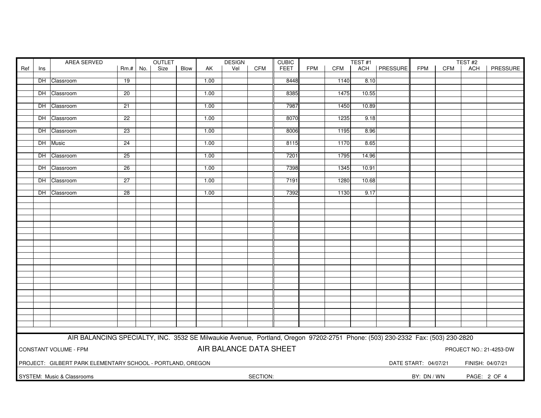|     |     | AREA SERVED                                                                                                                   |                 | OUTLET |      |      | <b>DESIGN</b><br><b>CUBIC</b> |            |             |            | TEST <sub>#1</sub> |       |                | TEST#2               |            |                  |                         |
|-----|-----|-------------------------------------------------------------------------------------------------------------------------------|-----------------|--------|------|------|-------------------------------|------------|-------------|------------|--------------------|-------|----------------|----------------------|------------|------------------|-------------------------|
| Ref | Ins |                                                                                                                               | $Rm.+$ No.      | Size   | Blow | AK   | Vel                           | <b>CFM</b> | <b>FEET</b> | <b>FPM</b> | CFM                |       | ACH   PRESSURE | <b>FPM</b>           | <b>CFM</b> | ACH              | PRESSURE                |
|     |     |                                                                                                                               |                 |        |      |      |                               |            |             |            |                    |       |                |                      |            |                  |                         |
|     |     | DH Classroom                                                                                                                  | 19              |        |      | 1.00 |                               |            | 8448        |            | 1140               | 8.10  |                |                      |            |                  |                         |
|     |     | DH Classroom                                                                                                                  | $\overline{20}$ |        |      | 1.00 |                               |            | 8385        |            | 1475               | 10.55 |                |                      |            |                  |                         |
|     |     |                                                                                                                               |                 |        |      |      |                               |            |             |            |                    |       |                |                      |            |                  |                         |
|     |     | DH Classroom                                                                                                                  | 21              |        |      | 1.00 |                               |            | 7987        |            | 1450               | 10.89 |                |                      |            |                  |                         |
|     |     |                                                                                                                               |                 |        |      |      |                               |            |             |            |                    |       |                |                      |            |                  |                         |
|     |     | DH Classroom                                                                                                                  | 22              |        |      | 1.00 |                               |            | 8070        |            | 1235               | 9.18  |                |                      |            |                  |                         |
|     |     |                                                                                                                               |                 |        |      |      |                               |            |             |            |                    |       |                |                      |            |                  |                         |
|     |     | DH Classroom                                                                                                                  | 23              |        |      | 1.00 |                               |            | 8006        |            | 1195               | 8.96  |                |                      |            |                  |                         |
|     |     |                                                                                                                               |                 |        |      |      |                               |            | 8115        |            |                    |       |                |                      |            |                  |                         |
|     |     | DH Music                                                                                                                      | 24              |        |      | 1.00 |                               |            |             |            | 1170               | 8.65  |                |                      |            |                  |                         |
|     |     | DH Classroom                                                                                                                  | 25              |        |      | 1.00 |                               |            | 7201        |            | 1795               | 14.96 |                |                      |            |                  |                         |
|     |     |                                                                                                                               |                 |        |      |      |                               |            |             |            |                    |       |                |                      |            |                  |                         |
|     |     | DH Classroom                                                                                                                  | 26              |        |      | 1.00 |                               |            | 7398        |            | 1345               | 10.91 |                |                      |            |                  |                         |
|     |     |                                                                                                                               |                 |        |      |      |                               |            |             |            |                    |       |                |                      |            |                  |                         |
|     |     | DH Classroom                                                                                                                  | 27              |        |      | 1.00 |                               |            | 7191        |            | 1280               | 10.68 |                |                      |            |                  |                         |
|     |     |                                                                                                                               |                 |        |      |      |                               |            |             |            |                    |       |                |                      |            |                  |                         |
|     |     | DH Classroom                                                                                                                  | 28              |        |      | 1.00 |                               |            | 7392        |            | 1130               | 9.17  |                |                      |            |                  |                         |
|     |     |                                                                                                                               |                 |        |      |      |                               |            |             |            |                    |       |                |                      |            |                  |                         |
|     |     |                                                                                                                               |                 |        |      |      |                               |            |             |            |                    |       |                |                      |            |                  |                         |
|     |     |                                                                                                                               |                 |        |      |      |                               |            |             |            |                    |       |                |                      |            |                  |                         |
|     |     |                                                                                                                               |                 |        |      |      |                               |            |             |            |                    |       |                |                      |            |                  |                         |
|     |     |                                                                                                                               |                 |        |      |      |                               |            |             |            |                    |       |                |                      |            |                  |                         |
|     |     |                                                                                                                               |                 |        |      |      |                               |            |             |            |                    |       |                |                      |            |                  |                         |
|     |     |                                                                                                                               |                 |        |      |      |                               |            |             |            |                    |       |                |                      |            |                  |                         |
|     |     |                                                                                                                               |                 |        |      |      |                               |            |             |            |                    |       |                |                      |            |                  |                         |
|     |     |                                                                                                                               |                 |        |      |      |                               |            |             |            |                    |       |                |                      |            |                  |                         |
|     |     |                                                                                                                               |                 |        |      |      |                               |            |             |            |                    |       |                |                      |            |                  |                         |
|     |     |                                                                                                                               |                 |        |      |      |                               |            |             |            |                    |       |                |                      |            |                  |                         |
|     |     |                                                                                                                               |                 |        |      |      |                               |            |             |            |                    |       |                |                      |            |                  |                         |
|     |     |                                                                                                                               |                 |        |      |      |                               |            |             |            |                    |       |                |                      |            |                  |                         |
|     |     |                                                                                                                               |                 |        |      |      |                               |            |             |            |                    |       |                |                      |            |                  |                         |
|     |     |                                                                                                                               |                 |        |      |      |                               |            |             |            |                    |       |                |                      |            |                  |                         |
|     |     |                                                                                                                               |                 |        |      |      |                               |            |             |            |                    |       |                |                      |            |                  |                         |
|     |     |                                                                                                                               |                 |        |      |      |                               |            |             |            |                    |       |                |                      |            |                  |                         |
|     |     |                                                                                                                               |                 |        |      |      |                               |            |             |            |                    |       |                |                      |            |                  |                         |
|     |     |                                                                                                                               |                 |        |      |      |                               |            |             |            |                    |       |                |                      |            |                  |                         |
|     |     | AIR BALANCING SPECIALTY, INC. 3532 SE Milwaukie Avenue, Portland, Oregon 97202-2751 Phone: (503) 230-2332 Fax: (503) 230-2820 |                 |        |      |      |                               |            |             |            |                    |       |                |                      |            |                  |                         |
|     |     |                                                                                                                               |                 |        |      |      |                               |            |             |            |                    |       |                |                      |            |                  |                         |
|     |     | CONSTANT VOLUME - FPM                                                                                                         |                 |        |      |      | AIR BALANCE DATA SHEET        |            |             |            |                    |       |                |                      |            |                  | PROJECT NO.: 21-4253-DW |
|     |     |                                                                                                                               |                 |        |      |      |                               |            |             |            |                    |       |                |                      |            |                  |                         |
|     |     | PROJECT: GILBERT PARK ELEMENTARY SCHOOL - PORTLAND, OREGON                                                                    |                 |        |      |      |                               |            |             |            |                    |       |                | DATE START: 04/07/21 |            | FINISH: 04/07/21 |                         |
|     |     |                                                                                                                               |                 |        |      |      |                               |            |             |            |                    |       |                |                      |            |                  |                         |
|     |     | SYSTEM: Music & Classrooms                                                                                                    |                 |        |      |      |                               | SECTION:   |             |            |                    |       |                | BY: DN / WN          |            | PAGE: 2 OF 4     |                         |
|     |     |                                                                                                                               |                 |        |      |      |                               |            |             |            |                    |       |                |                      |            |                  |                         |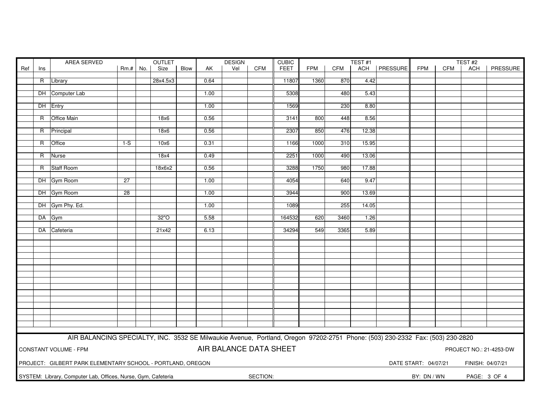|     |     | AREA SERVED                                                                                                                   |            | OUTLET |          |      | <b>DESIGN</b> |                        |            | <b>CUBIC</b> | TEST#1     |            |       |                | TEST <sub>#2</sub>   |            |                  |                         |
|-----|-----|-------------------------------------------------------------------------------------------------------------------------------|------------|--------|----------|------|---------------|------------------------|------------|--------------|------------|------------|-------|----------------|----------------------|------------|------------------|-------------------------|
| Ref | Ins |                                                                                                                               | $Rm.+$ No. |        | Size     | Blow | AK            | Vel                    | <b>CFM</b> | <b>FEET</b>  | <b>FPM</b> | <b>CFM</b> |       | ACH   PRESSURE | <b>FPM</b>           | <b>CFM</b> | ACH              | PRESSURE                |
|     |     |                                                                                                                               |            |        |          |      |               |                        |            |              |            |            |       |                |                      |            |                  |                         |
|     |     | R Library                                                                                                                     |            |        | 28x4.5x3 |      | 0.64          |                        |            | 11807        | 1360       | 870        | 4.42  |                |                      |            |                  |                         |
|     |     |                                                                                                                               |            |        |          |      |               |                        |            |              |            |            |       |                |                      |            |                  |                         |
|     |     | DH Computer Lab                                                                                                               |            |        |          |      | 1.00          |                        |            | 5308         |            | 480        | 5.43  |                |                      |            |                  |                         |
|     |     | DH Entry                                                                                                                      |            |        |          |      | 1.00          |                        |            | 1569         |            | 230        | 8.80  |                |                      |            |                  |                         |
|     |     |                                                                                                                               |            |        |          |      |               |                        |            |              |            |            |       |                |                      |            |                  |                         |
|     |     | R Office Main                                                                                                                 |            |        | 18x6     |      | 0.56          |                        |            | 3141         | 800        | 448        | 8.56  |                |                      |            |                  |                         |
|     |     |                                                                                                                               |            |        |          |      |               |                        |            |              |            |            |       |                |                      |            |                  |                         |
|     |     | R Principal                                                                                                                   |            |        | 18x6     |      | 0.56          |                        |            | 2307         | 850        | 476        | 12.38 |                |                      |            |                  |                         |
|     |     |                                                                                                                               |            |        |          |      |               |                        |            |              |            |            |       |                |                      |            |                  |                         |
|     | R.  | <b>Office</b>                                                                                                                 | $1-S$      |        | 10x6     |      | 0.31          |                        |            | 1166         | 1000       | 310        | 15.95 |                |                      |            |                  |                         |
|     |     |                                                                                                                               |            |        |          |      |               |                        |            |              |            |            |       |                |                      |            |                  |                         |
|     | R   | Nurse                                                                                                                         |            |        | 18x4     |      | 0.49          |                        |            | 2251         | 1000       | 490        | 13.06 |                |                      |            |                  |                         |
|     |     |                                                                                                                               |            |        |          |      |               |                        |            |              |            |            |       |                |                      |            |                  |                         |
|     |     | R Staff Room                                                                                                                  |            |        | 18x6x2   |      | 0.56          |                        |            | 3288         | 1750       | 980        | 17.88 |                |                      |            |                  |                         |
|     |     | DH Gym Room                                                                                                                   | 27         |        |          |      | 1.00          |                        |            | 4054         |            | 640        | 9.47  |                |                      |            |                  |                         |
|     |     |                                                                                                                               |            |        |          |      |               |                        |            |              |            |            |       |                |                      |            |                  |                         |
|     |     | DH Gym Room                                                                                                                   | 28         |        |          |      | 1.00          |                        |            | 3944         |            | 900        | 13.69 |                |                      |            |                  |                         |
|     |     |                                                                                                                               |            |        |          |      |               |                        |            |              |            |            |       |                |                      |            |                  |                         |
|     |     | DH Gym Phy. Ed.                                                                                                               |            |        |          |      | 1.00          |                        |            | 1089         |            | 255        | 14.05 |                |                      |            |                  |                         |
|     |     |                                                                                                                               |            |        |          |      |               |                        |            |              |            |            |       |                |                      |            |                  |                         |
|     |     | DA Gym                                                                                                                        |            |        | 32"O     |      | 5.58          |                        |            | 164532       | 620        | 3460       | 1.26  |                |                      |            |                  |                         |
|     |     |                                                                                                                               |            |        |          |      |               |                        |            |              |            |            |       |                |                      |            |                  |                         |
|     |     | DA Cafeteria                                                                                                                  |            |        | 21x42    |      | 6.13          |                        |            | 34294        | 549        | 3365       | 5.89  |                |                      |            |                  |                         |
|     |     |                                                                                                                               |            |        |          |      |               |                        |            |              |            |            |       |                |                      |            |                  |                         |
|     |     |                                                                                                                               |            |        |          |      |               |                        |            |              |            |            |       |                |                      |            |                  |                         |
|     |     |                                                                                                                               |            |        |          |      |               |                        |            |              |            |            |       |                |                      |            |                  |                         |
|     |     |                                                                                                                               |            |        |          |      |               |                        |            |              |            |            |       |                |                      |            |                  |                         |
|     |     |                                                                                                                               |            |        |          |      |               |                        |            |              |            |            |       |                |                      |            |                  |                         |
|     |     |                                                                                                                               |            |        |          |      |               |                        |            |              |            |            |       |                |                      |            |                  |                         |
|     |     |                                                                                                                               |            |        |          |      |               |                        |            |              |            |            |       |                |                      |            |                  |                         |
|     |     |                                                                                                                               |            |        |          |      |               |                        |            |              |            |            |       |                |                      |            |                  |                         |
|     |     |                                                                                                                               |            |        |          |      |               |                        |            |              |            |            |       |                |                      |            |                  |                         |
|     |     |                                                                                                                               |            |        |          |      |               |                        |            |              |            |            |       |                |                      |            |                  |                         |
|     |     |                                                                                                                               |            |        |          |      |               |                        |            |              |            |            |       |                |                      |            |                  |                         |
|     |     |                                                                                                                               |            |        |          |      |               |                        |            |              |            |            |       |                |                      |            |                  |                         |
|     |     |                                                                                                                               |            |        |          |      |               |                        |            |              |            |            |       |                |                      |            |                  |                         |
|     |     |                                                                                                                               |            |        |          |      |               |                        |            |              |            |            |       |                |                      |            |                  |                         |
|     |     |                                                                                                                               |            |        |          |      |               |                        |            |              |            |            |       |                |                      |            |                  |                         |
|     |     | AIR BALANCING SPECIALTY, INC. 3532 SE Milwaukie Avenue, Portland, Oregon 97202-2751 Phone: (503) 230-2332 Fax: (503) 230-2820 |            |        |          |      |               |                        |            |              |            |            |       |                |                      |            |                  |                         |
|     |     | <b>CONSTANT VOLUME - FPM</b>                                                                                                  |            |        |          |      |               | AIR BALANCE DATA SHEET |            |              |            |            |       |                |                      |            |                  | PROJECT NO.: 21-4253-DW |
|     |     |                                                                                                                               |            |        |          |      |               |                        |            |              |            |            |       |                |                      |            |                  |                         |
|     |     |                                                                                                                               |            |        |          |      |               |                        |            |              |            |            |       |                |                      |            |                  |                         |
|     |     | PROJECT: GILBERT PARK ELEMENTARY SCHOOL - PORTLAND, OREGON                                                                    |            |        |          |      |               |                        |            |              |            |            |       |                | DATE START: 04/07/21 |            | FINISH: 04/07/21 |                         |
|     |     | SYSTEM: Library, Computer Lab, Offices, Nurse, Gym, Cafeteria                                                                 |            |        |          |      |               |                        | SECTION:   |              |            |            |       |                | BY: DN / WN          |            |                  | PAGE: 3 OF 4            |
|     |     |                                                                                                                               |            |        |          |      |               |                        |            |              |            |            |       |                |                      |            |                  |                         |
|     |     |                                                                                                                               |            |        |          |      |               |                        |            |              |            |            |       |                |                      |            |                  |                         |